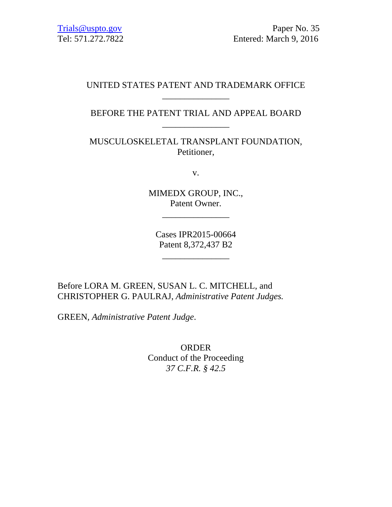# UNITED STATES PATENT AND TRADEMARK OFFICE  $\overline{\phantom{a}}$  , we can also the contract of the contract of the contract of the contract of the contract of the contract of the contract of the contract of the contract of the contract of the contract of the contract of the

BEFORE THE PATENT TRIAL AND APPEAL BOARD \_\_\_\_\_\_\_\_\_\_\_\_\_\_\_

MUSCULOSKELETAL TRANSPLANT FOUNDATION, Petitioner,

v.

MIMEDX GROUP, INC., Patent Owner.

\_\_\_\_\_\_\_\_\_\_\_\_\_\_\_

Cases IPR2015-00664 Patent 8,372,437 B2

\_\_\_\_\_\_\_\_\_\_\_\_\_\_\_

Before LORA M. GREEN, SUSAN L. C. MITCHELL, and CHRISTOPHER G. PAULRAJ, *Administrative Patent Judges.* 

GREEN, *Administrative Patent Judge*.

ORDER Conduct of the Proceeding *37 C.F.R. § 42.5*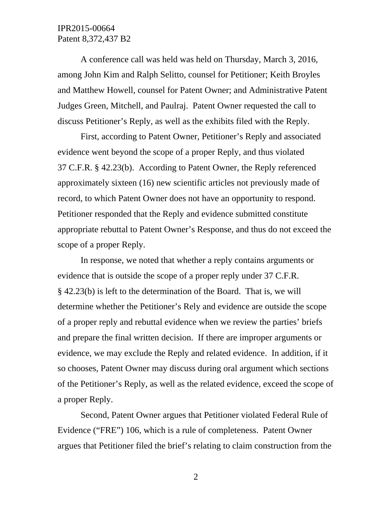## IPR2015-00664 Patent 8,372,437 B2

A conference call was held was held on Thursday, March 3, 2016, among John Kim and Ralph Selitto, counsel for Petitioner; Keith Broyles and Matthew Howell, counsel for Patent Owner; and Administrative Patent Judges Green, Mitchell, and Paulraj. Patent Owner requested the call to discuss Petitioner's Reply, as well as the exhibits filed with the Reply.

First, according to Patent Owner, Petitioner's Reply and associated evidence went beyond the scope of a proper Reply, and thus violated 37 C.F.R. § 42.23(b). According to Patent Owner, the Reply referenced approximately sixteen (16) new scientific articles not previously made of record, to which Patent Owner does not have an opportunity to respond. Petitioner responded that the Reply and evidence submitted constitute appropriate rebuttal to Patent Owner's Response, and thus do not exceed the scope of a proper Reply.

In response, we noted that whether a reply contains arguments or evidence that is outside the scope of a proper reply under 37 C.F.R. § 42.23(b) is left to the determination of the Board. That is, we will determine whether the Petitioner's Rely and evidence are outside the scope of a proper reply and rebuttal evidence when we review the parties' briefs and prepare the final written decision. If there are improper arguments or evidence, we may exclude the Reply and related evidence. In addition, if it so chooses, Patent Owner may discuss during oral argument which sections of the Petitioner's Reply, as well as the related evidence, exceed the scope of a proper Reply.

 Second, Patent Owner argues that Petitioner violated Federal Rule of Evidence ("FRE") 106, which is a rule of completeness. Patent Owner argues that Petitioner filed the brief's relating to claim construction from the

2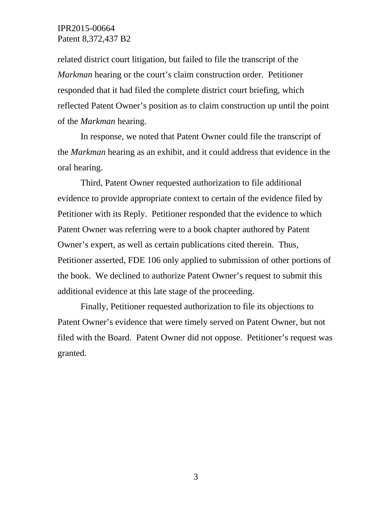### IPR2015-00664 Patent 8,372,437 B2

related district court litigation, but failed to file the transcript of the *Markman* hearing or the court's claim construction order. Petitioner responded that it had filed the complete district court briefing, which reflected Patent Owner's position as to claim construction up until the point of the *Markman* hearing.

 In response, we noted that Patent Owner could file the transcript of the *Markman* hearing as an exhibit, and it could address that evidence in the oral hearing.

 Third, Patent Owner requested authorization to file additional evidence to provide appropriate context to certain of the evidence filed by Petitioner with its Reply. Petitioner responded that the evidence to which Patent Owner was referring were to a book chapter authored by Patent Owner's expert, as well as certain publications cited therein. Thus, Petitioner asserted, FDE 106 only applied to submission of other portions of the book. We declined to authorize Patent Owner's request to submit this additional evidence at this late stage of the proceeding.

 Finally, Petitioner requested authorization to file its objections to Patent Owner's evidence that were timely served on Patent Owner, but not filed with the Board. Patent Owner did not oppose. Petitioner's request was granted.

3